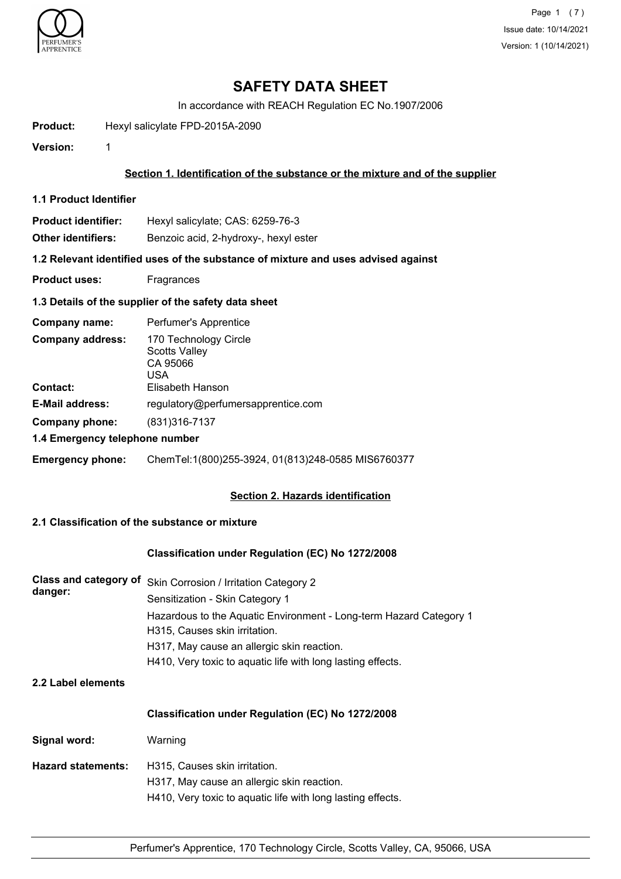

Page 1 (7) Issue date: 10/14/2021 Version: 1 (10/14/2021)

# **SAFETY DATA SHEET**

In accordance with REACH Regulation EC No.1907/2006

**Product:** Hexyl salicylate FPD-2015A-2090

**Version:** 1

#### **Section 1. Identification of the substance or the mixture and of the supplier**

- **1.1 Product Identifier**
- **Product identifier:** Hexyl salicylate; CAS: 6259-76-3
- **Other identifiers:** Benzoic acid, 2-hydroxy-, hexyl ester

**1.2 Relevant identified uses of the substance of mixture and uses advised against**

- **Product uses:** Fragrances
- **1.3 Details of the supplier of the safety data sheet**

| Company name:                  | Perfumer's Apprentice                                     |  |
|--------------------------------|-----------------------------------------------------------|--|
| <b>Company address:</b>        | 170 Technology Circle<br>Scotts Valley<br>CA 95066<br>USA |  |
| <b>Contact:</b>                | Elisabeth Hanson                                          |  |
| <b>E-Mail address:</b>         | regulatory@perfumersapprentice.com                        |  |
| Company phone:                 | (831) 316 - 7137                                          |  |
| 1.4 Emergency telephone number |                                                           |  |
| <b>Emergency phone:</b>        | ChemTel:1(800)255-3924, 01(813)248-0585 MIS6760377        |  |

#### **Section 2. Hazards identification**

### **2.1 Classification of the substance or mixture**

#### **Classification under Regulation (EC) No 1272/2008**

| danger: | Class and category of Skin Corrosion / Irritation Category 2       |
|---------|--------------------------------------------------------------------|
|         | Sensitization - Skin Category 1                                    |
|         | Hazardous to the Aquatic Environment - Long-term Hazard Category 1 |
|         | H315, Causes skin irritation.                                      |
|         | H317, May cause an allergic skin reaction.                         |
|         | H410, Very toxic to aquatic life with long lasting effects.        |

#### **2.2 Label elements**

#### **Classification under Regulation (EC) No 1272/2008**

| Signal word:       | Warning                                                                                                                                    |
|--------------------|--------------------------------------------------------------------------------------------------------------------------------------------|
| Hazard statements: | H315, Causes skin irritation.<br>H317, May cause an allergic skin reaction.<br>H410, Very toxic to aquatic life with long lasting effects. |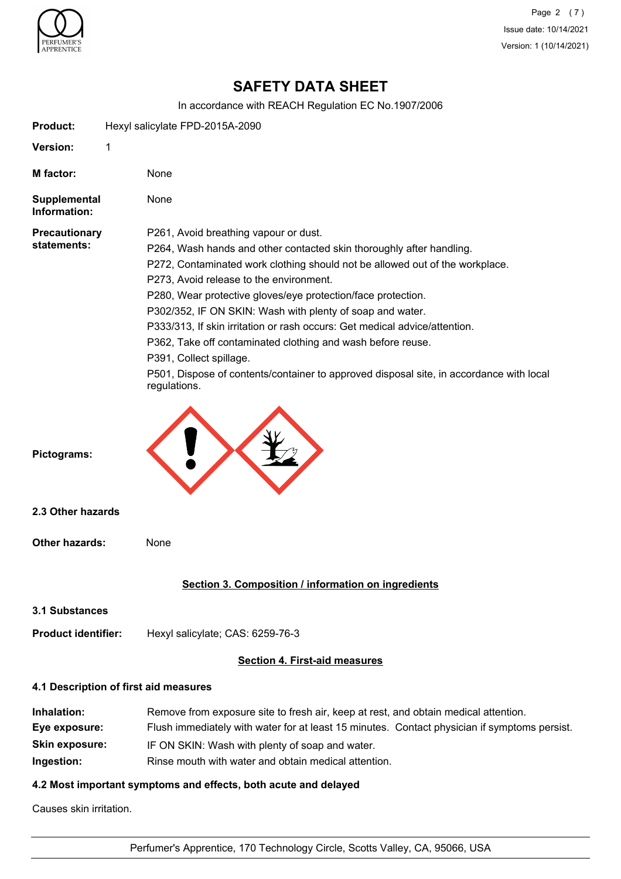

Page 2 (7) Issue date: 10/14/2021 Version: 1 (10/14/2021)

# **SAFETY DATA SHEET**

In accordance with REACH Regulation EC No.1907/2006

| <b>Product:</b>                                                     | Hexyl salicylate FPD-2015A-2090                                                                                                                                                                                                                                                                                                                                                                                                                                                                                                                                                                                                                          |  |
|---------------------------------------------------------------------|----------------------------------------------------------------------------------------------------------------------------------------------------------------------------------------------------------------------------------------------------------------------------------------------------------------------------------------------------------------------------------------------------------------------------------------------------------------------------------------------------------------------------------------------------------------------------------------------------------------------------------------------------------|--|
| Version:                                                            | 1                                                                                                                                                                                                                                                                                                                                                                                                                                                                                                                                                                                                                                                        |  |
| M factor:                                                           | None                                                                                                                                                                                                                                                                                                                                                                                                                                                                                                                                                                                                                                                     |  |
| Supplemental<br>Information:                                        | None                                                                                                                                                                                                                                                                                                                                                                                                                                                                                                                                                                                                                                                     |  |
| <b>Precautionary</b><br>statements:                                 | P261, Avoid breathing vapour or dust.<br>P264, Wash hands and other contacted skin thoroughly after handling.<br>P272, Contaminated work clothing should not be allowed out of the workplace.<br>P273, Avoid release to the environment.<br>P280, Wear protective gloves/eye protection/face protection.<br>P302/352, IF ON SKIN: Wash with plenty of soap and water.<br>P333/313, If skin irritation or rash occurs: Get medical advice/attention.<br>P362, Take off contaminated clothing and wash before reuse.<br>P391, Collect spillage.<br>P501, Dispose of contents/container to approved disposal site, in accordance with local<br>regulations. |  |
| Pictograms:<br>2.3 Other hazards                                    |                                                                                                                                                                                                                                                                                                                                                                                                                                                                                                                                                                                                                                                          |  |
| <b>Other hazards:</b>                                               | None                                                                                                                                                                                                                                                                                                                                                                                                                                                                                                                                                                                                                                                     |  |
|                                                                     | Section 3. Composition / information on ingredients                                                                                                                                                                                                                                                                                                                                                                                                                                                                                                                                                                                                      |  |
| 3.1 Substances                                                      |                                                                                                                                                                                                                                                                                                                                                                                                                                                                                                                                                                                                                                                          |  |
| <b>Product identifier:</b>                                          | Hexyl salicylate; CAS: 6259-76-3                                                                                                                                                                                                                                                                                                                                                                                                                                                                                                                                                                                                                         |  |
|                                                                     | <b>Section 4. First-aid measures</b>                                                                                                                                                                                                                                                                                                                                                                                                                                                                                                                                                                                                                     |  |
|                                                                     | 4.1 Description of first aid measures                                                                                                                                                                                                                                                                                                                                                                                                                                                                                                                                                                                                                    |  |
| Inhalation:<br>Eye exposure:<br><b>Skin exposure:</b><br>Ingestion: | Remove from exposure site to fresh air, keep at rest, and obtain medical attention.<br>Flush immediately with water for at least 15 minutes. Contact physician if symptoms persist.<br>IF ON SKIN: Wash with plenty of soap and water.<br>Rinse mouth with water and obtain medical attention.                                                                                                                                                                                                                                                                                                                                                           |  |

# **4.2 Most important symptoms and effects, both acute and delayed**

Causes skin irritation.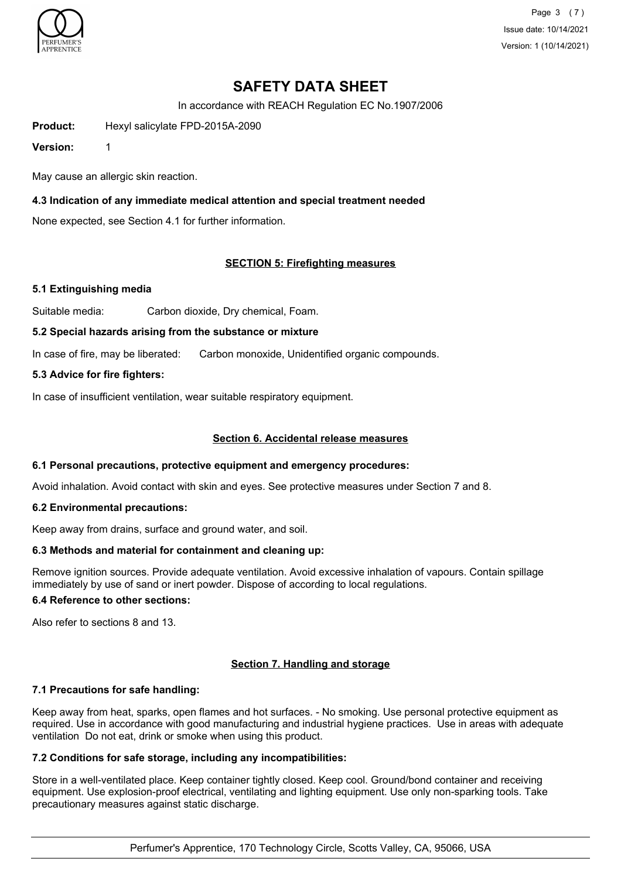

Page 3 (7) Issue date: 10/14/2021 Version: 1 (10/14/2021)

# **SAFETY DATA SHEET**

In accordance with REACH Regulation EC No.1907/2006

**Product:** Hexyl salicylate FPD-2015A-2090

**Version:** 1

May cause an allergic skin reaction.

### **4.3 Indication of any immediate medical attention and special treatment needed**

None expected, see Section 4.1 for further information.

### **SECTION 5: Firefighting measures**

#### **5.1 Extinguishing media**

Suitable media: Carbon dioxide, Dry chemical, Foam.

#### **5.2 Special hazards arising from the substance or mixture**

In case of fire, may be liberated: Carbon monoxide, Unidentified organic compounds.

#### **5.3 Advice for fire fighters:**

In case of insufficient ventilation, wear suitable respiratory equipment.

#### **Section 6. Accidental release measures**

#### **6.1 Personal precautions, protective equipment and emergency procedures:**

Avoid inhalation. Avoid contact with skin and eyes. See protective measures under Section 7 and 8.

#### **6.2 Environmental precautions:**

Keep away from drains, surface and ground water, and soil.

#### **6.3 Methods and material for containment and cleaning up:**

Remove ignition sources. Provide adequate ventilation. Avoid excessive inhalation of vapours. Contain spillage immediately by use of sand or inert powder. Dispose of according to local regulations.

#### **6.4 Reference to other sections:**

Also refer to sections 8 and 13.

#### **Section 7. Handling and storage**

#### **7.1 Precautions for safe handling:**

Keep away from heat, sparks, open flames and hot surfaces. - No smoking. Use personal protective equipment as required. Use in accordance with good manufacturing and industrial hygiene practices. Use in areas with adequate ventilation Do not eat, drink or smoke when using this product.

#### **7.2 Conditions for safe storage, including any incompatibilities:**

Store in a well-ventilated place. Keep container tightly closed. Keep cool. Ground/bond container and receiving equipment. Use explosion-proof electrical, ventilating and lighting equipment. Use only non-sparking tools. Take precautionary measures against static discharge.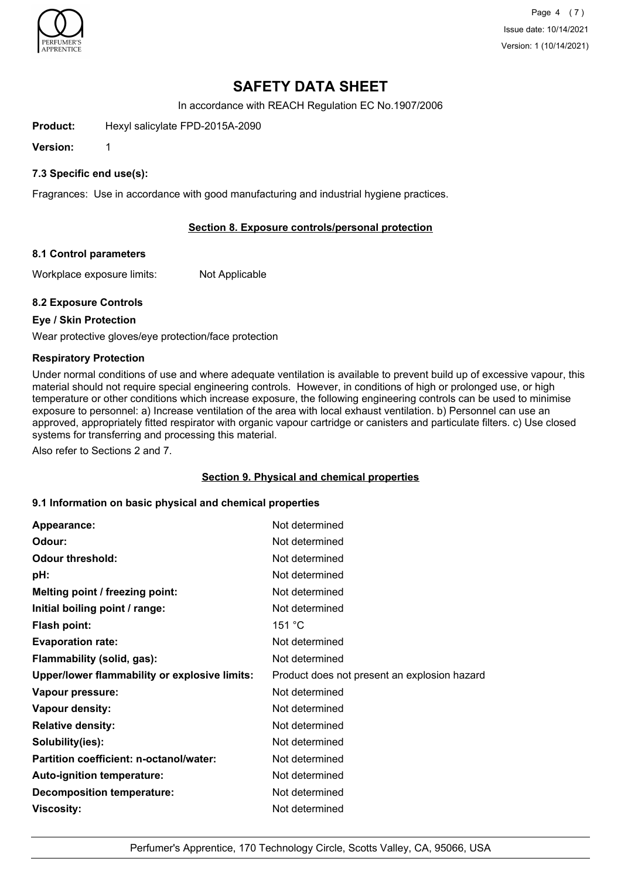

Page 4 (7) Issue date: 10/14/2021 Version: 1 (10/14/2021)

# **SAFETY DATA SHEET**

In accordance with REACH Regulation EC No.1907/2006

**Product:** Hexyl salicylate FPD-2015A-2090

**Version:** 1

#### **7.3 Specific end use(s):**

Fragrances: Use in accordance with good manufacturing and industrial hygiene practices.

#### **Section 8. Exposure controls/personal protection**

#### **8.1 Control parameters**

Workplace exposure limits: Not Applicable

#### **8.2 Exposure Controls**

#### **Eye / Skin Protection**

Wear protective gloves/eye protection/face protection

#### **Respiratory Protection**

Under normal conditions of use and where adequate ventilation is available to prevent build up of excessive vapour, this material should not require special engineering controls. However, in conditions of high or prolonged use, or high temperature or other conditions which increase exposure, the following engineering controls can be used to minimise exposure to personnel: a) Increase ventilation of the area with local exhaust ventilation. b) Personnel can use an approved, appropriately fitted respirator with organic vapour cartridge or canisters and particulate filters. c) Use closed systems for transferring and processing this material.

Also refer to Sections 2 and 7.

#### **Section 9. Physical and chemical properties**

#### **9.1 Information on basic physical and chemical properties**

| Appearance:                                   | Not determined                               |
|-----------------------------------------------|----------------------------------------------|
| Odour:                                        | Not determined                               |
| <b>Odour threshold:</b>                       | Not determined                               |
| pH:                                           | Not determined                               |
| Melting point / freezing point:               | Not determined                               |
| Initial boiling point / range:                | Not determined                               |
| <b>Flash point:</b>                           | 151 °C                                       |
| <b>Evaporation rate:</b>                      | Not determined                               |
| Flammability (solid, gas):                    | Not determined                               |
| Upper/lower flammability or explosive limits: | Product does not present an explosion hazard |
| Vapour pressure:                              | Not determined                               |
| Vapour density:                               | Not determined                               |
| <b>Relative density:</b>                      | Not determined                               |
| Solubility(ies):                              | Not determined                               |
| Partition coefficient: n-octanol/water:       | Not determined                               |
| Auto-ignition temperature:                    | Not determined                               |
| <b>Decomposition temperature:</b>             | Not determined                               |
| Viscosity:                                    | Not determined                               |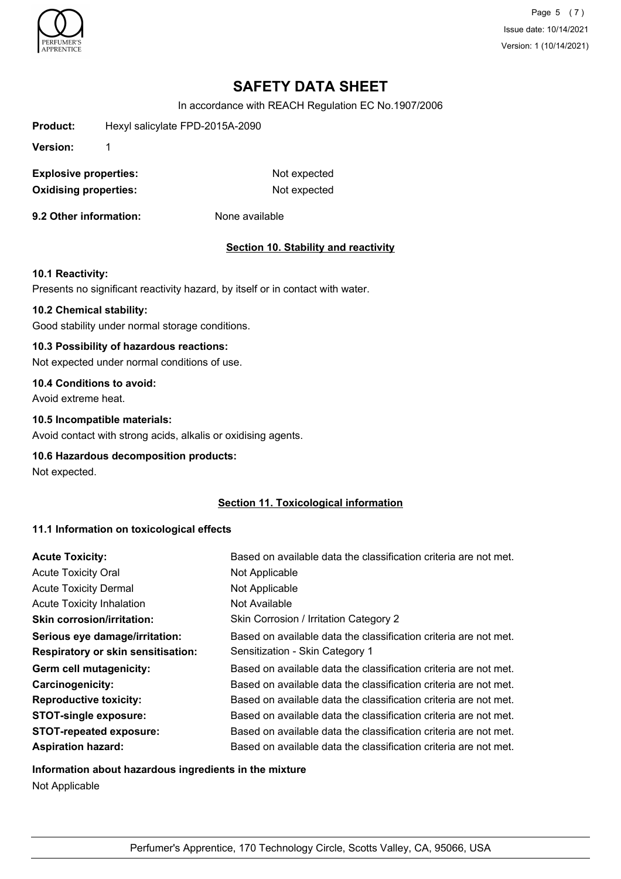

Page 5 (7) Issue date: 10/14/2021 Version: 1 (10/14/2021)

# **SAFETY DATA SHEET**

In accordance with REACH Regulation EC No.1907/2006

| Product:                     | Hexyl salicylate FPD-2015A-2090 |                                             |
|------------------------------|---------------------------------|---------------------------------------------|
| Version:                     | 1                               |                                             |
| <b>Explosive properties:</b> |                                 | Not expected                                |
| <b>Oxidising properties:</b> |                                 | Not expected                                |
| 9.2 Other information:       |                                 | None available                              |
|                              |                                 | <b>Section 10. Stability and reactivity</b> |
| <b>10.1 Reactivity:</b>      |                                 |                                             |

Presents no significant reactivity hazard, by itself or in contact with water.

#### **10.2 Chemical stability:**

Good stability under normal storage conditions.

### **10.3 Possibility of hazardous reactions:**

Not expected under normal conditions of use.

# **10.4 Conditions to avoid:**

Avoid extreme heat.

### **10.5 Incompatible materials:**

Avoid contact with strong acids, alkalis or oxidising agents.

#### **10.6 Hazardous decomposition products:**

Not expected.

### **Section 11. Toxicological information**

## **11.1 Information on toxicological effects**

| <b>Acute Toxicity:</b>             | Based on available data the classification criteria are not met. |
|------------------------------------|------------------------------------------------------------------|
| <b>Acute Toxicity Oral</b>         | Not Applicable                                                   |
| <b>Acute Toxicity Dermal</b>       | Not Applicable                                                   |
| <b>Acute Toxicity Inhalation</b>   | Not Available                                                    |
| <b>Skin corrosion/irritation:</b>  | Skin Corrosion / Irritation Category 2                           |
| Serious eye damage/irritation:     | Based on available data the classification criteria are not met. |
| Respiratory or skin sensitisation: | Sensitization - Skin Category 1                                  |
| Germ cell mutagenicity:            | Based on available data the classification criteria are not met. |
| <b>Carcinogenicity:</b>            | Based on available data the classification criteria are not met. |
| <b>Reproductive toxicity:</b>      | Based on available data the classification criteria are not met. |
| <b>STOT-single exposure:</b>       | Based on available data the classification criteria are not met. |
| <b>STOT-repeated exposure:</b>     | Based on available data the classification criteria are not met. |
| <b>Aspiration hazard:</b>          | Based on available data the classification criteria are not met. |

#### **Information about hazardous ingredients in the mixture**

Not Applicable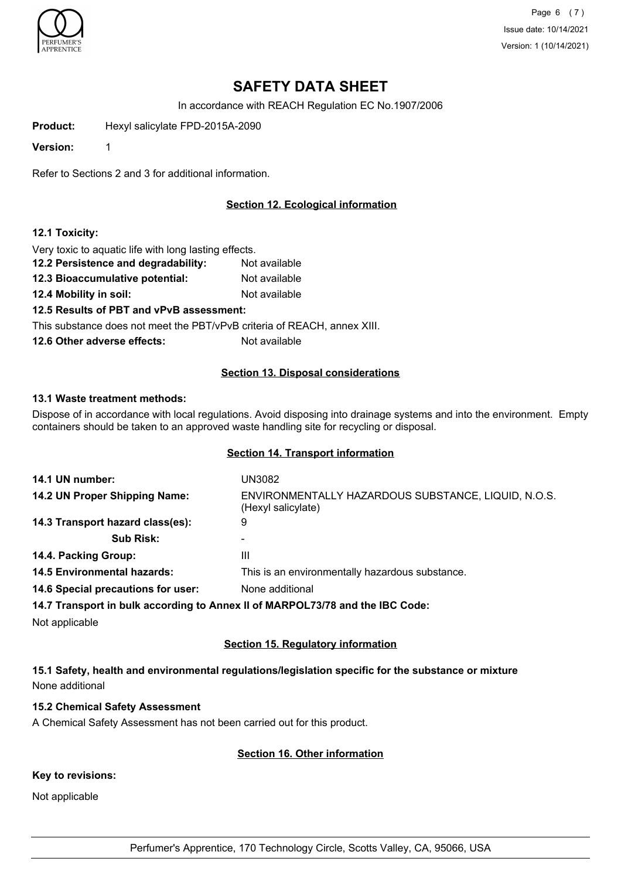

Page 6 (7) Issue date: 10/14/2021 Version: 1 (10/14/2021)

# **SAFETY DATA SHEET**

In accordance with REACH Regulation EC No.1907/2006

**Product:** Hexyl salicylate FPD-2015A-2090

**Version:** 1

Refer to Sections 2 and 3 for additional information.

### **Section 12. Ecological information**

#### **12.1 Toxicity:**

Very toxic to aquatic life with long lasting effects.

- **12.2 Persistence and degradability:** Not available
- **12.3 Bioaccumulative potential:** Not available
- **12.4 Mobility in soil:** Not available

**12.5 Results of PBT and vPvB assessment:**

This substance does not meet the PBT/vPvB criteria of REACH, annex XIII.

**12.6 Other adverse effects:** Not available

#### **Section 13. Disposal considerations**

#### **13.1 Waste treatment methods:**

Dispose of in accordance with local regulations. Avoid disposing into drainage systems and into the environment. Empty containers should be taken to an approved waste handling site for recycling or disposal.

#### **Section 14. Transport information**

| 14.1 UN number:                                                               | UN3082                                                                    |  |
|-------------------------------------------------------------------------------|---------------------------------------------------------------------------|--|
| 14.2 UN Proper Shipping Name:                                                 | ENVIRONMENTALLY HAZARDOUS SUBSTANCE, LIQUID, N.O.S.<br>(Hexyl salicylate) |  |
| 14.3 Transport hazard class(es):                                              | 9                                                                         |  |
| <b>Sub Risk:</b>                                                              |                                                                           |  |
| 14.4. Packing Group:                                                          | Ш                                                                         |  |
| <b>14.5 Environmental hazards:</b>                                            | This is an environmentally hazardous substance.                           |  |
| 14.6 Special precautions for user:                                            | None additional                                                           |  |
| 14.7 Transport in bulk according to Annex II of MARPOL73/78 and the IBC Code: |                                                                           |  |
|                                                                               |                                                                           |  |

Not applicable

#### **Section 15. Regulatory information**

**15.1 Safety, health and environmental regulations/legislation specific for the substance or mixture** None additional

#### **15.2 Chemical Safety Assessment**

A Chemical Safety Assessment has not been carried out for this product.

#### **Section 16. Other information**

#### **Key to revisions:**

Not applicable